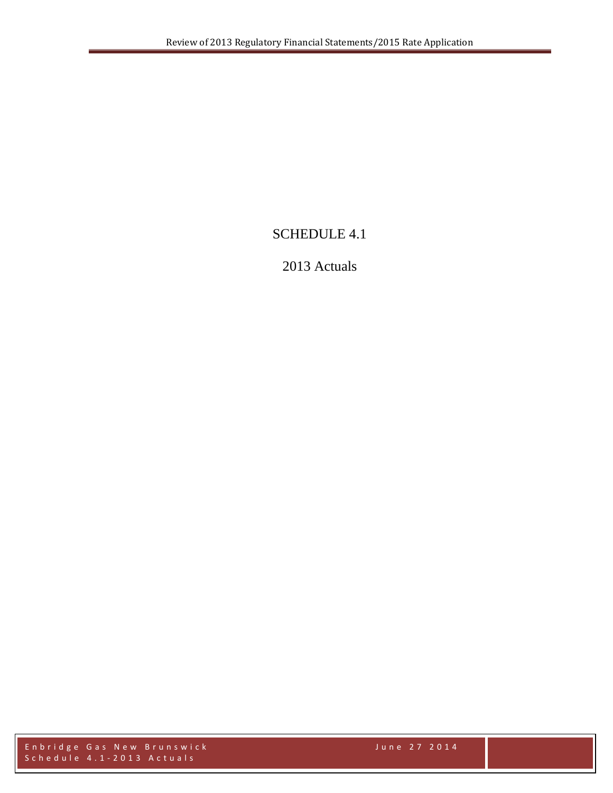# SCHEDULE 4.1

# 2013 Actuals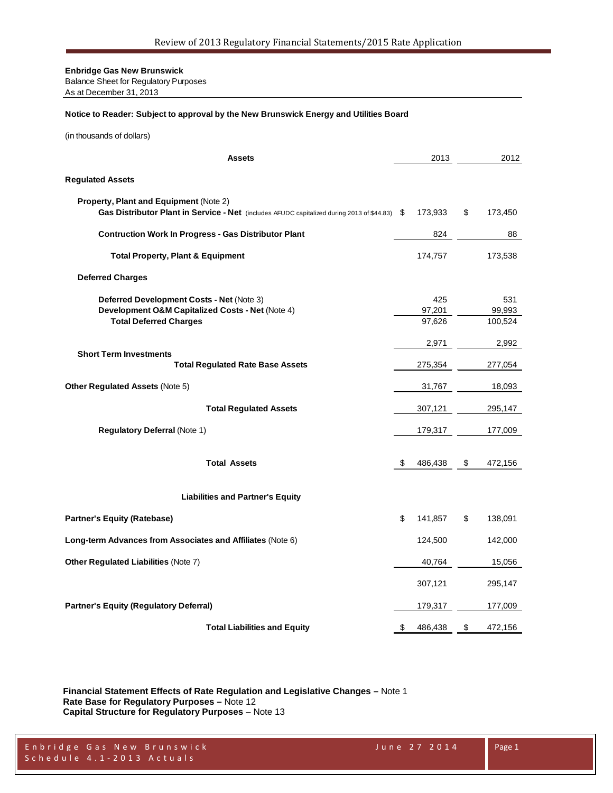Balance Sheet for Regulatory Purposes As at December 31, 2013

#### **Notice to Reader: Subject to approval by the New Brunswick Energy and Utilities Board**

(in thousands of dollars)

| <b>Assets</b>                                                                                                                                  |      | 2013                    | 2012                     |
|------------------------------------------------------------------------------------------------------------------------------------------------|------|-------------------------|--------------------------|
| <b>Regulated Assets</b>                                                                                                                        |      |                         |                          |
| <b>Property, Plant and Equipment (Note 2)</b><br>Gas Distributor Plant in Service - Net (includes AFUDC capitalized during 2013 of \$44.83) \$ |      | 173,933                 | \$<br>173,450            |
| <b>Contruction Work In Progress - Gas Distributor Plant</b>                                                                                    |      | 824                     | 88                       |
| <b>Total Property, Plant &amp; Equipment</b>                                                                                                   |      | 174,757                 | 173,538                  |
| <b>Deferred Charges</b>                                                                                                                        |      |                         |                          |
| Deferred Development Costs - Net (Note 3)<br>Development O&M Capitalized Costs - Net (Note 4)<br><b>Total Deferred Charges</b>                 |      | 425<br>97,201<br>97,626 | 531<br>99,993<br>100,524 |
|                                                                                                                                                |      | 2,971                   | 2,992                    |
| <b>Short Term Investments</b><br><b>Total Regulated Rate Base Assets</b>                                                                       |      | 275,354                 | 277,054                  |
| Other Regulated Assets (Note 5)                                                                                                                |      | 31,767                  | 18,093                   |
| <b>Total Regulated Assets</b>                                                                                                                  |      | 307,121                 | 295,147                  |
| Regulatory Deferral (Note 1)                                                                                                                   |      | 179,317                 | 177,009                  |
| <b>Total Assets</b>                                                                                                                            | - \$ | 486,438                 | \$<br>472,156            |
| <b>Liabilities and Partner's Equity</b>                                                                                                        |      |                         |                          |
| <b>Partner's Equity (Ratebase)</b>                                                                                                             | \$   | 141,857                 | \$<br>138,091            |
| Long-term Advances from Associates and Affiliates (Note 6)                                                                                     |      | 124,500                 | 142,000                  |
| Other Regulated Liabilities (Note 7)                                                                                                           |      | 40,764                  | 15,056                   |
|                                                                                                                                                |      | 307,121                 | 295,147                  |
| <b>Partner's Equity (Regulatory Deferral)</b>                                                                                                  |      | 179,317                 | 177,009                  |
| <b>Total Liabilities and Equity</b>                                                                                                            | \$   | 486,438                 | \$<br>472,156            |

**Financial Statement Effects of Rate Regulation and Legislative Changes –** Note 1 **Rate Base for Regulatory Purposes –** Note 12 **Capital Structure for Regulatory Purposes** – Note 13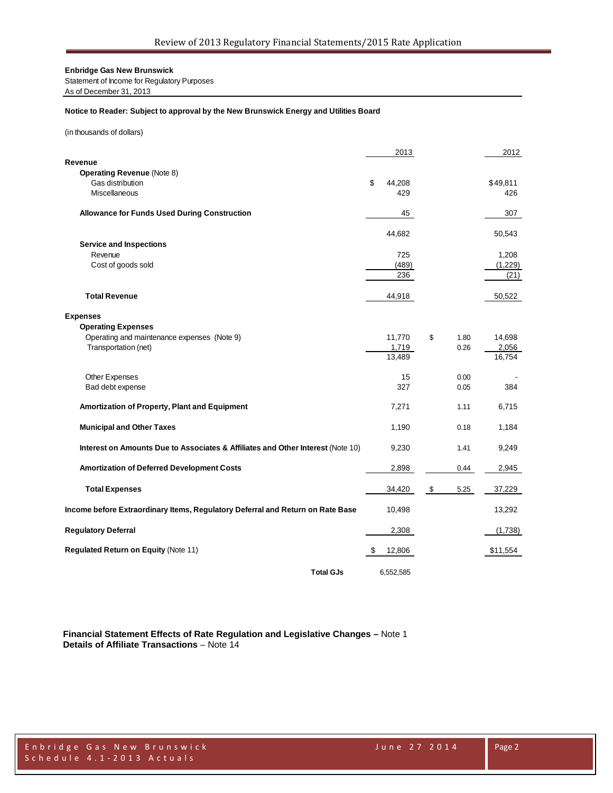Statement of Income for Regulatory Purposes As of December 31, 2013

#### **Notice to Reader: Subject to approval by the New Brunswick Energy and Utilities Board**

(in thousands of dollars)

|                                                                                 |    | 2013          |              | 2012            |
|---------------------------------------------------------------------------------|----|---------------|--------------|-----------------|
| Revenue                                                                         |    |               |              |                 |
| <b>Operating Revenue (Note 8)</b><br>Gas distribution                           | \$ |               |              |                 |
| Miscellaneous                                                                   |    | 44,208<br>429 |              | \$49,811<br>426 |
|                                                                                 |    |               |              |                 |
| <b>Allowance for Funds Used During Construction</b>                             |    | 45            |              | 307             |
|                                                                                 |    |               |              |                 |
|                                                                                 |    | 44,682        |              | 50,543          |
| <b>Service and Inspections</b><br>Revenue                                       |    | 725           |              | 1,208           |
| Cost of goods sold                                                              |    | (489)         |              | (1,229)         |
|                                                                                 |    | 236           |              | (21)            |
|                                                                                 |    |               |              |                 |
| <b>Total Revenue</b>                                                            |    | 44,918        |              | 50,522          |
|                                                                                 |    |               |              |                 |
| <b>Expenses</b><br><b>Operating Expenses</b>                                    |    |               |              |                 |
| Operating and maintenance expenses (Note 9)                                     |    | 11,770        | \$<br>1.80   | 14,698          |
| Transportation (net)                                                            |    | 1,719         | 0.26         | 2,056           |
|                                                                                 |    | 13,489        |              | 16,754          |
|                                                                                 |    |               |              |                 |
| Other Expenses<br>Bad debt expense                                              |    | 15<br>327     | 0.00<br>0.05 | 384             |
|                                                                                 |    |               |              |                 |
| Amortization of Property, Plant and Equipment                                   |    | 7,271         | 1.11         | 6,715           |
|                                                                                 |    |               |              |                 |
| <b>Municipal and Other Taxes</b>                                                |    | 1,190         | 0.18         | 1,184           |
| Interest on Amounts Due to Associates & Affiliates and Other Interest (Note 10) |    | 9,230         | 1.41         | 9,249           |
|                                                                                 |    |               |              |                 |
| <b>Amortization of Deferred Development Costs</b>                               |    | 2,898         | 0.44         | 2,945           |
|                                                                                 |    |               |              |                 |
| <b>Total Expenses</b>                                                           |    | 34,420        | \$<br>5.25   | 37,229          |
|                                                                                 |    |               |              |                 |
| Income before Extraordinary Items, Regulatory Deferral and Return on Rate Base  |    | 10,498        |              | 13,292          |
| <b>Regulatory Deferral</b>                                                      |    | 2,308         |              | (1,738)         |
|                                                                                 |    |               |              |                 |
| Regulated Return on Equity (Note 11)                                            | S. | 12,806        |              | \$11,554        |
|                                                                                 |    |               |              |                 |
| <b>Total GJs</b>                                                                |    | 6,552,585     |              |                 |

**Financial Statement Effects of Rate Regulation and Legislative Changes –** Note 1 **Details of Affiliate Transactions** – Note 14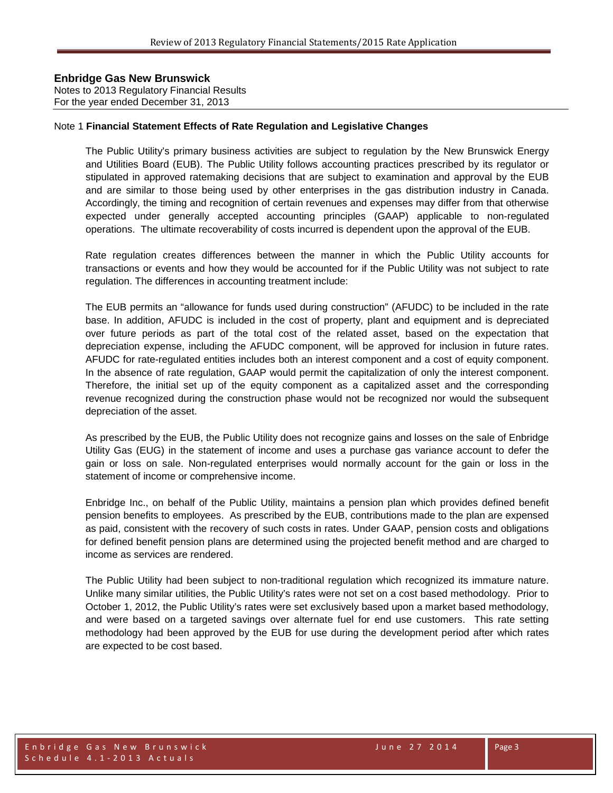Notes to 2013 Regulatory Financial Results For the year ended December 31, 2013

#### Note 1 **Financial Statement Effects of Rate Regulation and Legislative Changes**

The Public Utility's primary business activities are subject to regulation by the New Brunswick Energy and Utilities Board (EUB). The Public Utility follows accounting practices prescribed by its regulator or stipulated in approved ratemaking decisions that are subject to examination and approval by the EUB and are similar to those being used by other enterprises in the gas distribution industry in Canada. Accordingly, the timing and recognition of certain revenues and expenses may differ from that otherwise expected under generally accepted accounting principles (GAAP) applicable to non-regulated operations. The ultimate recoverability of costs incurred is dependent upon the approval of the EUB.

Rate regulation creates differences between the manner in which the Public Utility accounts for transactions or events and how they would be accounted for if the Public Utility was not subject to rate regulation. The differences in accounting treatment include:

The EUB permits an "allowance for funds used during construction" (AFUDC) to be included in the rate base. In addition, AFUDC is included in the cost of property, plant and equipment and is depreciated over future periods as part of the total cost of the related asset, based on the expectation that depreciation expense, including the AFUDC component, will be approved for inclusion in future rates. AFUDC for rate-regulated entities includes both an interest component and a cost of equity component. In the absence of rate regulation, GAAP would permit the capitalization of only the interest component. Therefore, the initial set up of the equity component as a capitalized asset and the corresponding revenue recognized during the construction phase would not be recognized nor would the subsequent depreciation of the asset.

As prescribed by the EUB, the Public Utility does not recognize gains and losses on the sale of Enbridge Utility Gas (EUG) in the statement of income and uses a purchase gas variance account to defer the gain or loss on sale. Non-regulated enterprises would normally account for the gain or loss in the statement of income or comprehensive income.

Enbridge Inc., on behalf of the Public Utility, maintains a pension plan which provides defined benefit pension benefits to employees. As prescribed by the EUB, contributions made to the plan are expensed as paid, consistent with the recovery of such costs in rates. Under GAAP, pension costs and obligations for defined benefit pension plans are determined using the projected benefit method and are charged to income as services are rendered.

The Public Utility had been subject to non-traditional regulation which recognized its immature nature. Unlike many similar utilities, the Public Utility's rates were not set on a cost based methodology. Prior to October 1, 2012, the Public Utility's rates were set exclusively based upon a market based methodology, and were based on a targeted savings over alternate fuel for end use customers. This rate setting methodology had been approved by the EUB for use during the development period after which rates are expected to be cost based.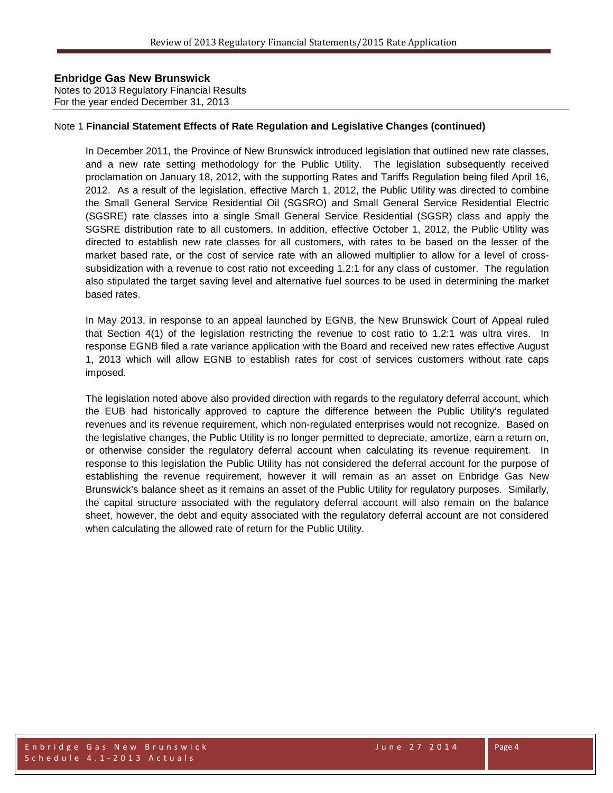Notes to 2013 Regulatory Financial Results For the year ended December 31, 2013

#### Note 1 **Financial Statement Effects of Rate Regulation and Legislative Changes (continued)**

In December 2011, the Province of New Brunswick introduced legislation that outlined new rate classes, and a new rate setting methodology for the Public Utility. The legislation subsequently received proclamation on January 18, 2012, with the supporting Rates and Tariffs Regulation being filed April 16, 2012. As a result of the legislation, effective March 1, 2012, the Public Utility was directed to combine the Small General Service Residential Oil (SGSRO) and Small General Service Residential Electric (SGSRE) rate classes into a single Small General Service Residential (SGSR) class and apply the SGSRE distribution rate to all customers. In addition, effective October 1, 2012, the Public Utility was directed to establish new rate classes for all customers, with rates to be based on the lesser of the market based rate, or the cost of service rate with an allowed multiplier to allow for a level of crosssubsidization with a revenue to cost ratio not exceeding 1.2:1 for any class of customer. The regulation also stipulated the target saving level and alternative fuel sources to be used in determining the market based rates.

In May 2013, in response to an appeal launched by EGNB, the New Brunswick Court of Appeal ruled that Section 4(1) of the legislation restricting the revenue to cost ratio to 1.2:1 was ultra vires. In response EGNB filed a rate variance application with the Board and received new rates effective August 1, 2013 which will allow EGNB to establish rates for cost of services customers without rate caps imposed.

The legislation noted above also provided direction with regards to the regulatory deferral account, which the EUB had historically approved to capture the difference between the Public Utility's regulated revenues and its revenue requirement, which non-regulated enterprises would not recognize. Based on the legislative changes, the Public Utility is no longer permitted to depreciate, amortize, earn a return on, or otherwise consider the regulatory deferral account when calculating its revenue requirement. In response to this legislation the Public Utility has not considered the deferral account for the purpose of establishing the revenue requirement, however it will remain as an asset on Enbridge Gas New Brunswick's balance sheet as it remains an asset of the Public Utility for regulatory purposes. Similarly, the capital structure associated with the regulatory deferral account will also remain on the balance sheet, however, the debt and equity associated with the regulatory deferral account are not considered when calculating the allowed rate of return for the Public Utility.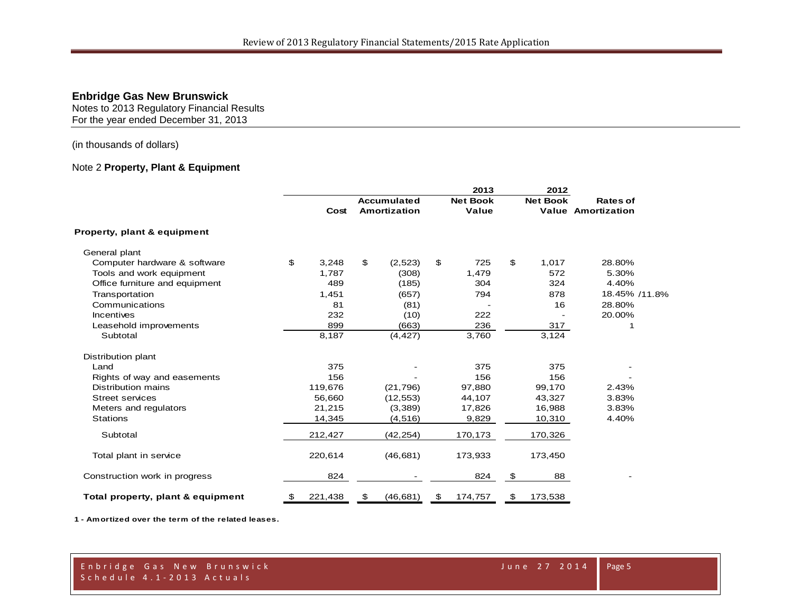Notes to 2013 Regulatory Financial Results For the year ended December 31, 2013

### (in thousands of dollars)

#### Note 2 **Property, Plant & Equipment**

|                                   |               |                    | 2013                     |    | 2012            |                           |  |
|-----------------------------------|---------------|--------------------|--------------------------|----|-----------------|---------------------------|--|
|                                   |               | <b>Accumulated</b> | <b>Net Book</b><br>Value |    | <b>Net Book</b> | <b>Rates of</b>           |  |
|                                   | Cost          | Amortization       |                          |    |                 | <b>Value Amortization</b> |  |
| Property, plant & equipment       |               |                    |                          |    |                 |                           |  |
| General plant                     |               |                    |                          |    |                 |                           |  |
| Computer hardware & software      | \$<br>3,248   | \$<br>(2, 523)     | \$<br>725                | \$ | 1,017           | 28.80%                    |  |
| Tools and work equipment          | 1,787         | (308)              | 1,479                    |    | 572             | 5.30%                     |  |
| Office furniture and equipment    | 489           | (185)              | 304                      |    | 324             | 4.40%                     |  |
| Transportation                    | 1,451         | (657)              | 794                      |    | 878             | 18.45% /11.8%             |  |
| Communications                    | 81            | (81)               |                          |    | 16              | 28.80%                    |  |
| <b>Incentives</b>                 | 232           | (10)               | 222                      |    |                 | 20.00%                    |  |
| Leasehold improvements            | 899           | (663)              | 236                      |    | 317             | 1                         |  |
| Subtotal                          | 8,187         | (4, 427)           | 3,760                    |    | 3,124           |                           |  |
| Distribution plant                |               |                    |                          |    |                 |                           |  |
| Land                              | 375           |                    | 375                      |    | 375             |                           |  |
| Rights of way and easements       | 156           |                    | 156                      |    | 156             |                           |  |
| Distribution mains                | 119,676       | (21, 796)          | 97,880                   |    | 99,170          | 2.43%                     |  |
| <b>Street services</b>            | 56,660        | (12, 553)          | 44,107                   |    | 43,327          | 3.83%                     |  |
| Meters and regulators             | 21,215        | (3,389)            | 17,826                   |    | 16,988          | 3.83%                     |  |
| <b>Stations</b>                   | 14,345        | (4, 516)           | 9,829                    |    | 10,310          | 4.40%                     |  |
| Subtotal                          | 212,427       | (42, 254)          | 170,173                  |    | 170,326         |                           |  |
| Total plant in service            | 220,614       | (46, 681)          | 173,933                  |    | 173,450         |                           |  |
| Construction work in progress     | 824           |                    | 824                      | \$ | 88              |                           |  |
| Total property, plant & equipment | \$<br>221,438 | \$<br>(46, 681)    | \$<br>174,757            | \$ | 173,538         |                           |  |

**1 - Amortized over the term of the related leases.**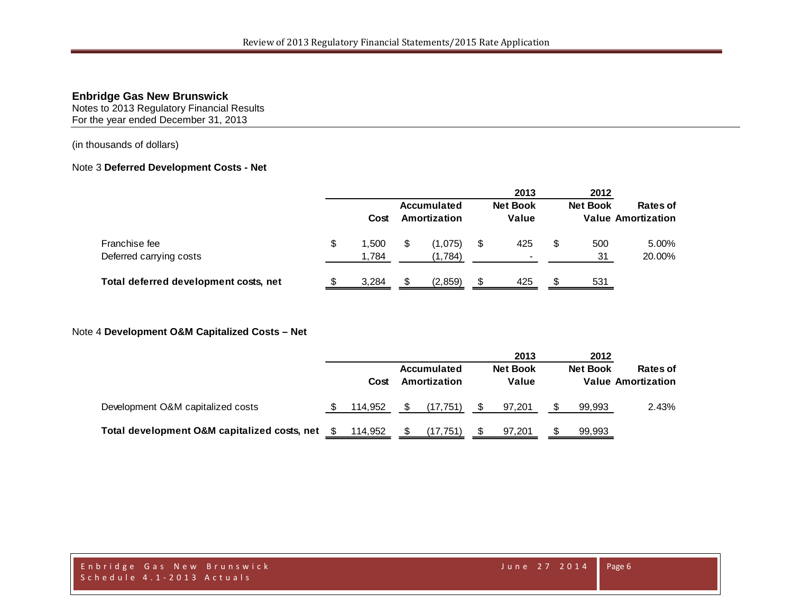Notes to 2013 Regulatory Financial Results For the year ended December 31, 2013

(in thousands of dollars)

### Note 3 **Deferred Development Costs - Net**

|                                       |             |     |                             |     | 2013                     | 2012            |                                              |
|---------------------------------------|-------------|-----|-----------------------------|-----|--------------------------|-----------------|----------------------------------------------|
|                                       | Cost        |     | Accumulated<br>Amortization |     | <b>Net Book</b><br>Value | <b>Net Book</b> | <b>Rates of</b><br><b>Value Amortization</b> |
| Franchise fee                         | \$<br>1.500 | S   | (1,075)                     | S   | 425                      | 500             | 5.00%                                        |
| Deferred carrying costs               | 1,784       |     | (1.784)                     |     | $\sim$                   | 31              | 20.00%                                       |
| Total deferred development costs, net | 3,284       | \$. | (2,859)                     | \$. | 425                      | 531             |                                              |

#### Note 4 **Development O&M Capitalized Costs – Net**

|                                              |         |                                    | 2013                     | 2012            |                                       |
|----------------------------------------------|---------|------------------------------------|--------------------------|-----------------|---------------------------------------|
|                                              | Cost    | <b>Accumulated</b><br>Amortization | <b>Net Book</b><br>Value | <b>Net Book</b> | Rates of<br><b>Value Amortization</b> |
| Development O&M capitalized costs            | 114.952 | (17,751)                           | 97,201                   | 99.993          | 2.43%                                 |
| Total development O&M capitalized costs, net | 114.952 | (17.751)                           | 97.201                   | 99,993          |                                       |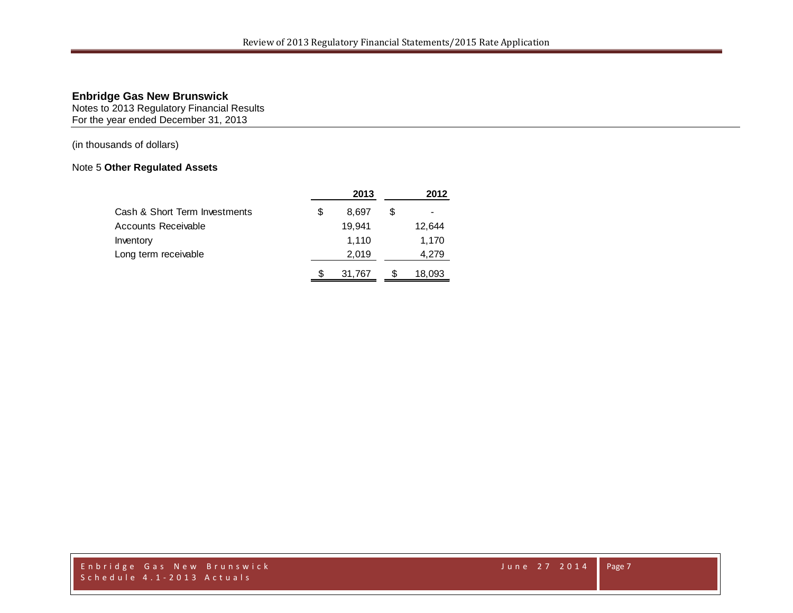Notes to 2013 Regulatory Financial Results For the year ended December 31, 2013

(in thousands of dollars)

# Note 5 **Other Regulated Assets**

|                               |   | 2013   |   | 2012   |
|-------------------------------|---|--------|---|--------|
| Cash & Short Term Investments | S | 8.697  | S |        |
| <b>Accounts Receivable</b>    |   | 19.941 |   | 12,644 |
| Inventory                     |   | 1,110  |   | 1,170  |
| Long term receivable          |   | 2,019  |   | 4,279  |
|                               | S | 31,767 |   | 18.093 |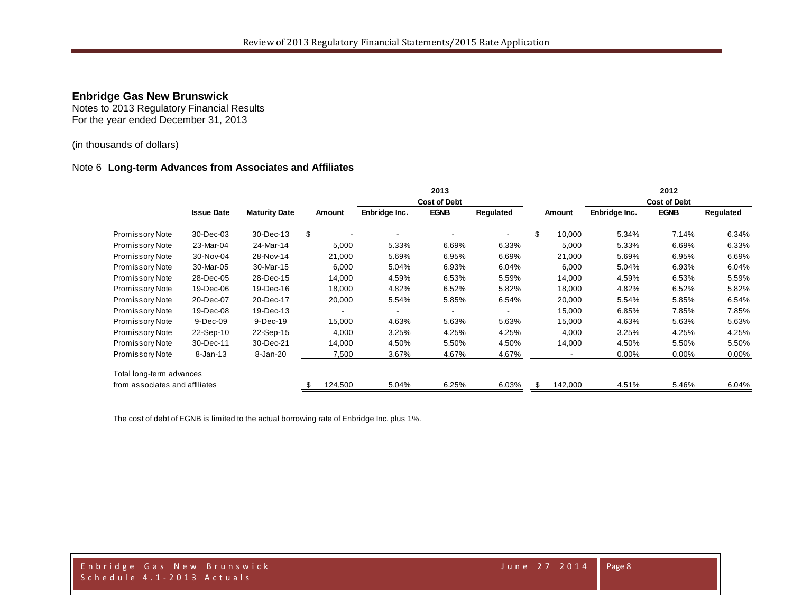Notes to 2013 Regulatory Financial Results For the year ended December 31, 2013

### (in thousands of dollars)

#### Note 6 **Long-term Advances from Associates and Affiliates**

|                                |                   |                      |         |               | 2013                |           |                |               | 2012                |           |
|--------------------------------|-------------------|----------------------|---------|---------------|---------------------|-----------|----------------|---------------|---------------------|-----------|
|                                |                   |                      |         |               | <b>Cost of Debt</b> |           |                |               | <b>Cost of Debt</b> |           |
|                                | <b>Issue Date</b> | <b>Maturity Date</b> | Amount  | Enbridge Inc. | <b>EGNB</b>         | Regulated | Amount         | Enbridge Inc. | <b>EGNB</b>         | Regulated |
| Promissory Note                | 30-Dec-03         | 30-Dec-13            | \$      |               |                     |           | \$<br>10,000   | 5.34%         | 7.14%               | 6.34%     |
| Promissory Note                | 23-Mar-04         | 24-Mar-14            | 5,000   | 5.33%         | 6.69%               | 6.33%     | 5,000          | 5.33%         | 6.69%               | 6.33%     |
| Promissory Note                | 30-Nov-04         | 28-Nov-14            | 21,000  | 5.69%         | 6.95%               | 6.69%     | 21,000         | 5.69%         | 6.95%               | 6.69%     |
| Promissory Note                | 30-Mar-05         | 30-Mar-15            | 6,000   | 5.04%         | 6.93%               | 6.04%     | 6,000          | 5.04%         | 6.93%               | 6.04%     |
| Promissory Note                | 28-Dec-05         | 28-Dec-15            | 14,000  | 4.59%         | 6.53%               | 5.59%     | 14,000         | 4.59%         | 6.53%               | 5.59%     |
| Promissory Note                | 19-Dec-06         | 19-Dec-16            | 18,000  | 4.82%         | 6.52%               | 5.82%     | 18,000         | 4.82%         | 6.52%               | 5.82%     |
| Promissory Note                | 20-Dec-07         | 20-Dec-17            | 20,000  | 5.54%         | 5.85%               | 6.54%     | 20,000         | 5.54%         | 5.85%               | 6.54%     |
| <b>Promissory Note</b>         | 19-Dec-08         | 19-Dec-13            |         |               |                     |           | 15,000         | 6.85%         | 7.85%               | 7.85%     |
| <b>Promissory Note</b>         | 9-Dec-09          | 9-Dec-19             | 15,000  | 4.63%         | 5.63%               | 5.63%     | 15,000         | 4.63%         | 5.63%               | 5.63%     |
| <b>Promissory Note</b>         | 22-Sep-10         | 22-Sep-15            | 4,000   | 3.25%         | 4.25%               | 4.25%     | 4,000          | 3.25%         | 4.25%               | 4.25%     |
| Promissory Note                | 30-Dec-11         | 30-Dec-21            | 14,000  | 4.50%         | 5.50%               | 4.50%     | 14,000         | 4.50%         | 5.50%               | 5.50%     |
| Promissory Note                | 8-Jan-13          | 8-Jan-20             | 7,500   | 3.67%         | 4.67%               | 4.67%     |                | $0.00\%$      | $0.00\%$            | $0.00\%$  |
| Total long-term advances       |                   |                      |         |               |                     |           |                |               |                     |           |
| from associates and affiliates |                   |                      | 124,500 | 5.04%         | 6.25%               | 6.03%     | \$.<br>142,000 | 4.51%         | 5.46%               | 6.04%     |

The cost of debt of EGNB is limited to the actual borrowing rate of Enbridge Inc. plus 1%.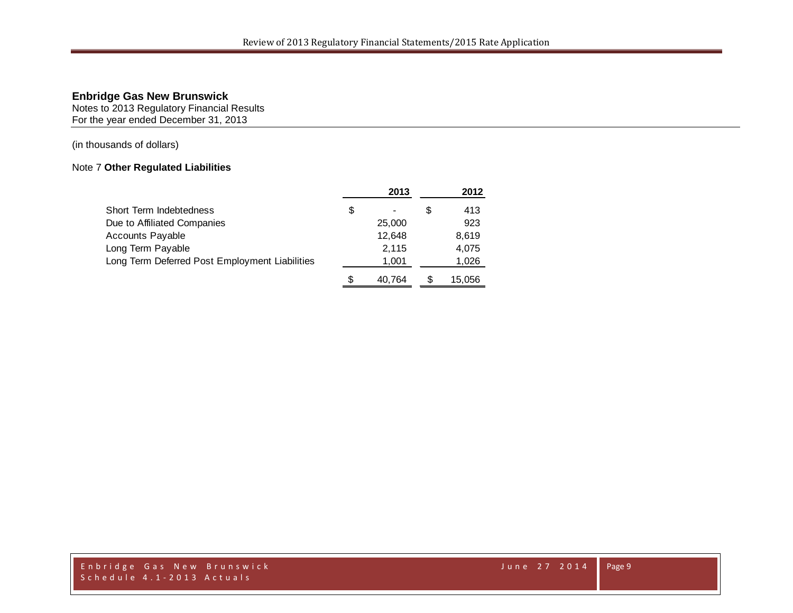Notes to 2013 Regulatory Financial Results For the year ended December 31, 2013

(in thousands of dollars)

# Note 7 **Other Regulated Liabilities**

|                                                | 2013   |   | 2012   |
|------------------------------------------------|--------|---|--------|
| Short Term Indebtedness                        | \$     | S | 413    |
| Due to Affiliated Companies                    | 25,000 |   | 923    |
| Accounts Payable                               | 12.648 |   | 8,619  |
| Long Term Payable                              | 2,115  |   | 4,075  |
| Long Term Deferred Post Employment Liabilities | 1,001  |   | 1,026  |
|                                                | 40.764 |   | 15.056 |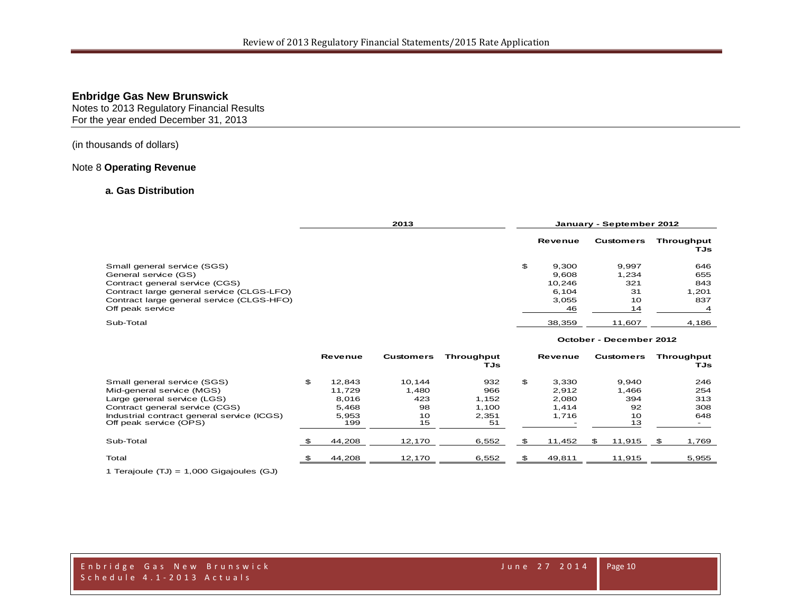Notes to 2013 Regulatory Financial Results For the year ended December 31, 2013

#### (in thousands of dollars)

#### Note 8 **Operating Revenue**

#### **a. Gas Distribution**

|                                           | 2013 |    |         | January - September 2012 |                   |
|-------------------------------------------|------|----|---------|--------------------------|-------------------|
|                                           |      |    | Revenue | <b>Customers</b>         | Throughput<br>TJs |
| Small general service (SGS)               |      | \$ | 9.300   | 9.997                    | 646               |
| General service (GS)                      |      |    | 9.608   | 1.234                    | 655               |
| Contract general service (CGS)            |      |    | 10.246  | 321                      | 843               |
| Contract large general service (CLGS-LFO) |      |    | 6.104   | 31                       | 1.201             |
| Contract large general service (CLGS-HFO) |      |    | 3.055   | 10                       | 837               |
| Off peak service                          |      |    | 46      | 14                       |                   |
| Sub-Total                                 |      |    | 38,359  | 11,607                   | 4,186             |

#### **October - December 2012**

|                                                                      |     | <b>Revenue</b> | Customers | Throuahput<br>TJs |     | Revenue |     | <b>Customers</b> |      | Throughput<br>TJs |
|----------------------------------------------------------------------|-----|----------------|-----------|-------------------|-----|---------|-----|------------------|------|-------------------|
| Small general service (SGS)                                          | \$. | 12.843         | 10.144    | 932               | \$. | 3.330   |     | 9.940            |      | 246               |
| Mid-general service (MGS)                                            |     | 11.729         | 1.480     | 966               |     | 2.912   |     | 1,466            |      | 254               |
| Large general service (LGS)                                          |     | 8.016          | 423       | 1,152             |     | 2.080   |     | 394              |      | 313               |
| Contract general service (CGS)                                       |     | 5,468          | 98        | 1.100             |     | 1.414   |     | 92               |      | 308               |
| Industrial contract general service (ICGS)<br>Off peak service (OPS) |     | 5.953<br>199   | 10<br>15  | 2.351<br>51       |     | 1.716   |     | 10<br>13         |      | 648               |
| Sub-Total                                                            |     | 44,208         | 12,170    | 6,552             |     | 11,452  | \$. | 11,915           | - 36 | 1,769             |
| Total                                                                |     | 44.208         | 12.170    | 6,552             |     | 49.811  |     | 11.915           |      | 5,955             |

1 Terajoule (TJ) = 1,000 Gigajoules (GJ)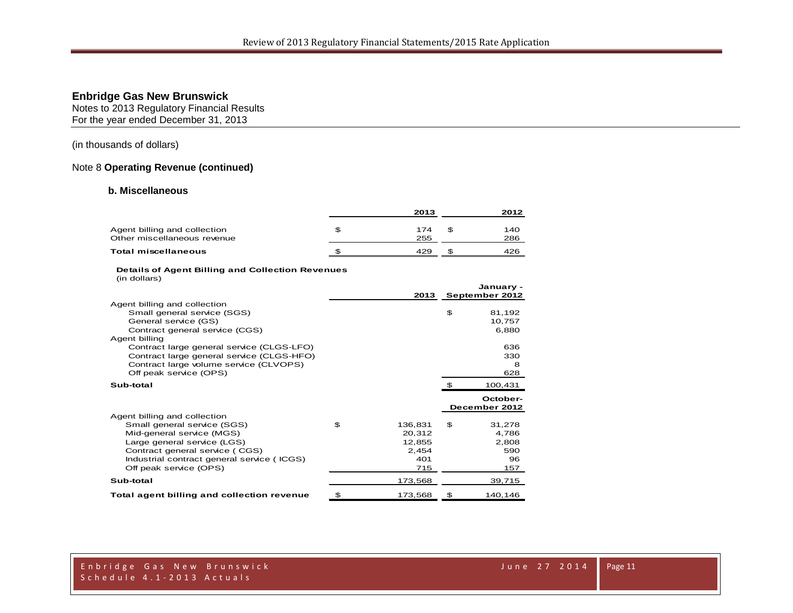Notes to 2013 Regulatory Financial Results For the year ended December 31, 2013

### (in thousands of dollars)

#### Note 8 **Operating Revenue (continued)**

#### **b. Miscellaneous**

|                                                             | 2013       | 2012       |
|-------------------------------------------------------------|------------|------------|
| Agent billing and collection<br>Other miscellaneous revenue | 174<br>255 | 140<br>286 |
| <b>Total miscellaneous</b>                                  | 429        | 426        |

#### **Details of Agent Billing and Collection Revenues**

|  | (in dollars) |
|--|--------------|
|--|--------------|

|                                            | 2013          |    | January -<br>September 2012 |
|--------------------------------------------|---------------|----|-----------------------------|
| Agent billing and collection               |               |    |                             |
| Small general service (SGS)                |               | \$ | 81,192                      |
| General service (GS)                       |               |    | 10,757                      |
| Contract general service (CGS)             |               |    | 6,880                       |
| Agent billing                              |               |    |                             |
| Contract large general service (CLGS-LFO)  |               |    | 636                         |
| Contract large general service (CLGS-HFO)  |               |    | 330                         |
| Contract large volume service (CLVOPS)     |               |    | 8                           |
| Off peak service (OPS)                     |               |    | 628                         |
| Sub-total                                  |               |    | 100,431                     |
|                                            |               |    |                             |
|                                            |               |    | October-                    |
|                                            |               |    | December 2012               |
| Agent billing and collection               |               |    |                             |
| Small general service (SGS)                | \$<br>136,831 | £. | 31,278                      |
| Mid-general service (MGS)                  | 20,312        |    | 4,786                       |
| Large general service (LGS)                | 12.855        |    | 2.808                       |
| Contract general service (CGS)             | 2,454         |    | 590                         |
| Industrial contract general service (ICGS) | 401           |    | 96                          |
| Off peak service (OPS)                     | 715           |    | 157                         |
| Sub-total                                  | 173,568       |    | 39,715                      |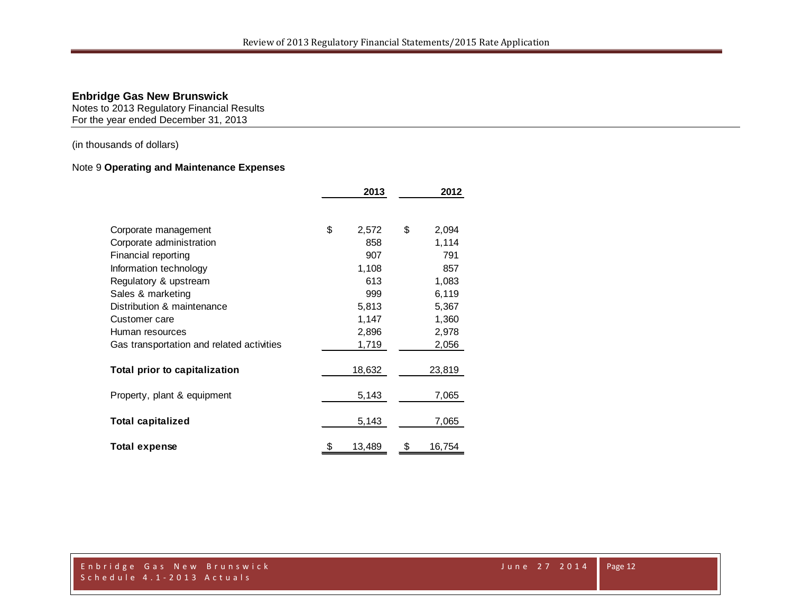Notes to 2013 Regulatory Financial Results For the year ended December 31, 2013

(in thousands of dollars)

# Note 9 **Operating and Maintenance Expenses**

|                                           | 2013 |        |    | 2012   |  |  |
|-------------------------------------------|------|--------|----|--------|--|--|
|                                           |      |        |    |        |  |  |
| Corporate management                      | \$   | 2,572  | \$ | 2,094  |  |  |
| Corporate administration                  |      | 858    |    | 1,114  |  |  |
| Financial reporting                       |      | 907    |    | 791    |  |  |
| Information technology                    |      | 1,108  |    | 857    |  |  |
| Regulatory & upstream                     |      | 613    |    | 1,083  |  |  |
| Sales & marketing                         |      | 999    |    | 6,119  |  |  |
| Distribution & maintenance                |      | 5,813  |    | 5,367  |  |  |
| Customer care                             |      | 1,147  |    | 1,360  |  |  |
| Human resources                           |      | 2,896  |    | 2,978  |  |  |
| Gas transportation and related activities |      | 1,719  |    | 2,056  |  |  |
| Total prior to capitalization             |      | 18,632 |    | 23,819 |  |  |
| Property, plant & equipment               |      | 5,143  |    | 7,065  |  |  |
| <b>Total capitalized</b>                  |      | 5,143  |    | 7,065  |  |  |
| <b>Total expense</b>                      | \$   | 13,489 | \$ | 16,754 |  |  |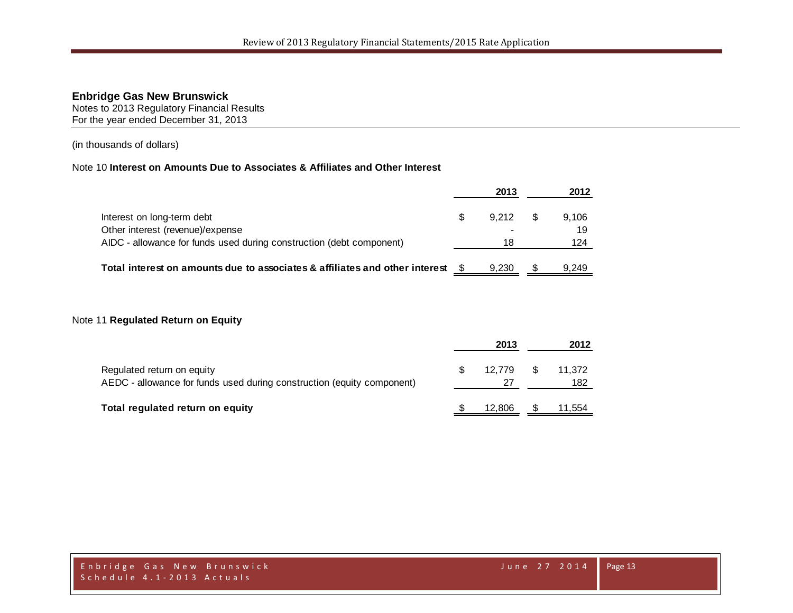Notes to 2013 Regulatory Financial Results For the year ended December 31, 2013

(in thousands of dollars)

### Note 10 **Interest on Amounts Due to Associates & Affiliates and Other Interest**

|                                                                             | 2013  |     | 2012  |
|-----------------------------------------------------------------------------|-------|-----|-------|
| Interest on long-term debt                                                  | 9.212 | - S | 9.106 |
| Other interest (revenue)/expense                                            |       |     | 19    |
| AIDC - allowance for funds used during construction (debt component)        | 18    |     | 124   |
| Total interest on amounts due to associates & affiliates and other interest | 9.230 |     | 9.249 |

# Note 11 **Regulated Return on Equity**

|                                                                                                      | 2013   |          | 2012          |
|------------------------------------------------------------------------------------------------------|--------|----------|---------------|
| Regulated return on equity<br>AEDC - allowance for funds used during construction (equity component) | 12.779 | <b>S</b> | 11,372<br>182 |
| Total regulated return on equity                                                                     | 12.806 |          | 11,554        |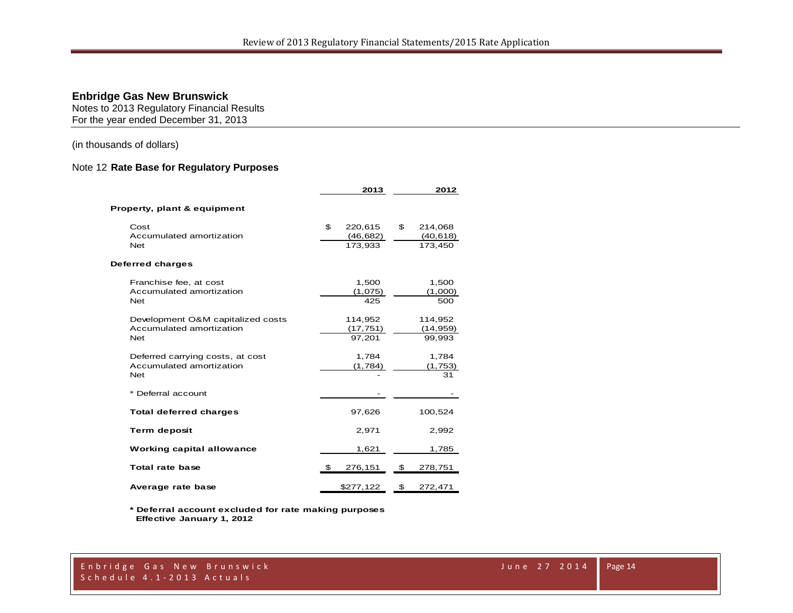Notes to 2013 Regulatory Financial Results For the year ended December 31, 2013

(in thousands of dollars)

#### Note 12 **Rate Base for Regulatory Purposes**

|                                   | 2013          | 2012          |
|-----------------------------------|---------------|---------------|
| Property, plant & equipment       |               |               |
| Cost                              | \$<br>220,615 | \$<br>214,068 |
| Accumulated amortization          | (46,682)      | (40, 618)     |
| <b>Net</b>                        | 173,933       | 173,450       |
| Deferred charges                  |               |               |
| Franchise fee, at cost            | 1,500         | 1,500         |
| Accumulated amortization          | (1,075)       | (1,000)       |
| <b>Net</b>                        | 425           | 500           |
| Development O&M capitalized costs | 114,952       | 114,952       |
| Accumulated amortization          | (17, 751)     | (14, 959)     |
| <b>Net</b>                        | 97,201        | 99,993        |
| Deferred carrying costs, at cost  | 1,784         | 1,784         |
| Accumulated amortization          | (1,784)       | (1,753)       |
| <b>Net</b>                        |               | 31            |
| * Deferral account                |               |               |
| <b>Total deferred charges</b>     | 97,626        | 100,524       |
| <b>Term deposit</b>               | 2,971         | 2,992         |
| <b>Working capital allowance</b>  | 1,621         | 1,785         |
| <b>Total rate base</b>            | \$<br>276,151 | \$<br>278,751 |
| Average rate base                 | \$277,122     | \$<br>272,471 |

**\* Deferral account excluded for rate making purposes Effective January 1, 2012**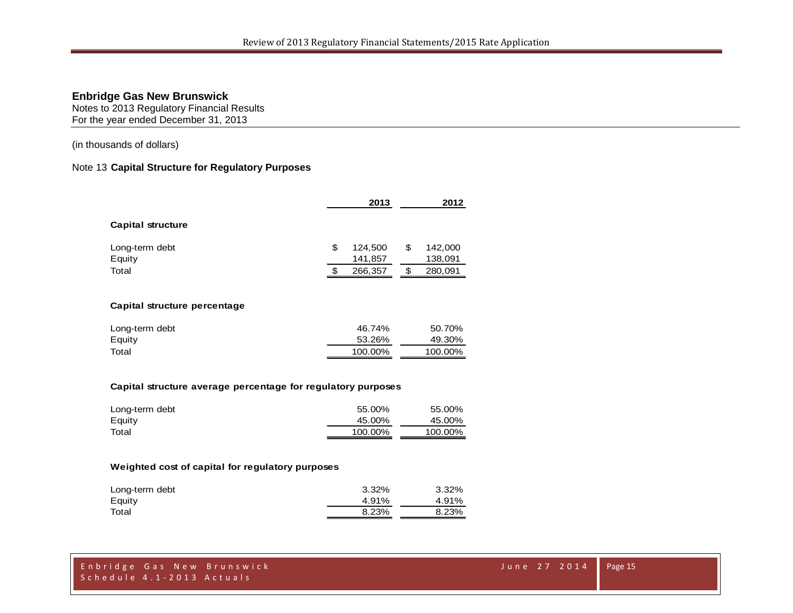Notes to 2013 Regulatory Financial Results For the year ended December 31, 2013

(in thousands of dollars)

#### Note 13 **Capital Structure for Regulatory Purposes**

|                              |    | 2013               |     | 2012               |
|------------------------------|----|--------------------|-----|--------------------|
| <b>Capital structure</b>     |    |                    |     |                    |
| Long-term debt<br>Equity     | \$ | 124,500<br>141,857 | \$  | 142,000<br>138,091 |
| Total                        | S  | 266,357            | \$. | 280,091            |
| Capital etructure perceptage |    |                    |     |                    |

#### **Capital structure percentage**

| Long-term debt | 46.74%  | 50.70%  |
|----------------|---------|---------|
| Equity         | 53.26%  | 49.30%  |
| Total          | 100.00% | 100.00% |

#### **Capital structure average percentage for regulatory purposes**

| Long-term debt | 55.00%  | 55.00%  |
|----------------|---------|---------|
| Equity         | 45.00%  | 45.00%  |
| Total          | 100.00% | 100.00% |

#### **Weighted cost of capital for regulatory purposes**

| Long-term debt | 3.32% | 3.32% |
|----------------|-------|-------|
| Equity         | 4.91% | 4.91% |
| Total          | 8.23% | 8.23% |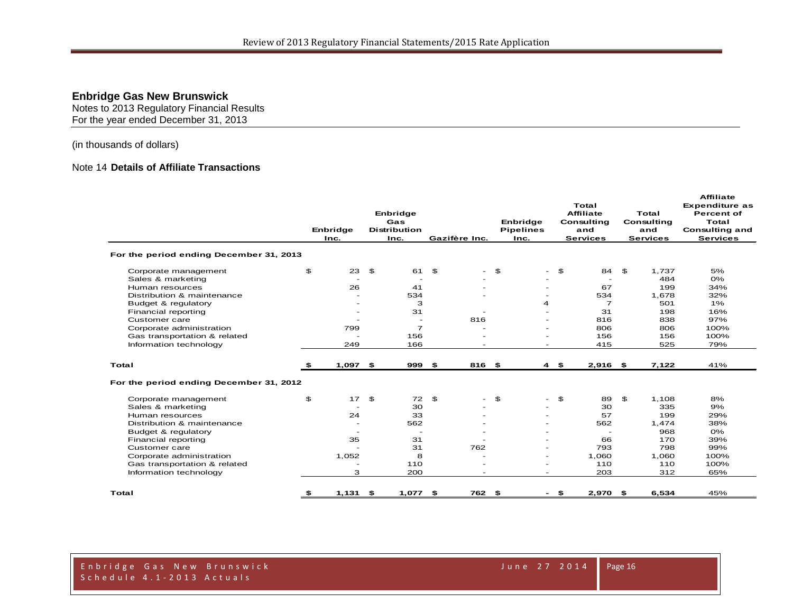Notes to 2013 Regulatory Financial Results For the year ended December 31, 2013

(in thousands of dollars)

# Note 14 **Details of Affiliate Transactions**

|                                         | Enbridge<br>Inc.         |                | Enbridge<br>Gas<br><b>Distribution</b><br>Inc. |                | Gazifère Inc.            | Enbridge<br><b>Pipelines</b><br>Inc. |                | Total<br><b>Affiliate</b><br>Consulting<br>and<br><b>Services</b> |                | Total<br>Consulting<br>and<br><b>Services</b> | <b>Affiliate</b><br><b>Expenditure as</b><br><b>Percent of</b><br>Total<br><b>Consulting and</b><br><b>Services</b> |
|-----------------------------------------|--------------------------|----------------|------------------------------------------------|----------------|--------------------------|--------------------------------------|----------------|-------------------------------------------------------------------|----------------|-----------------------------------------------|---------------------------------------------------------------------------------------------------------------------|
| For the period ending December 31, 2013 |                          |                |                                                |                |                          |                                      |                |                                                                   |                |                                               |                                                                                                                     |
| Corporate management                    | \$<br>23                 | \$             | 61                                             | $\mathfrak{F}$ | $\overline{\phantom{a}}$ | \$                                   | $-5$           | 84                                                                | $\mathfrak{F}$ | 1,737                                         | 5%                                                                                                                  |
| Sales & marketing                       | $\overline{\phantom{0}}$ |                |                                                |                |                          |                                      |                |                                                                   |                | 484                                           | 0%                                                                                                                  |
| Human resources                         | 26                       |                | 41                                             |                |                          |                                      |                | 67                                                                |                | 199                                           | 34%                                                                                                                 |
| Distribution & maintenance              |                          |                | 534                                            |                |                          |                                      |                | 534                                                               |                | 1,678                                         | 32%                                                                                                                 |
| Budget & regulatory                     |                          |                | з                                              |                |                          | 4                                    |                | $\overline{7}$                                                    |                | 501                                           | $1\%$                                                                                                               |
| Financial reporting                     | $\overline{\phantom{a}}$ |                | 31                                             |                |                          |                                      |                | 31                                                                |                | 198                                           | 16%                                                                                                                 |
| Customer care                           |                          |                | $\overline{\phantom{a}}$                       |                | 816                      |                                      |                | 816                                                               |                | 838                                           | 97%                                                                                                                 |
| Corporate administration                | 799                      |                | $\overline{7}$                                 |                |                          | $\overline{\phantom{a}}$             |                | 806                                                               |                | 806                                           | 100%                                                                                                                |
| Gas transportation & related            |                          |                | 156                                            |                |                          |                                      |                | 156                                                               |                | 156                                           | 100%                                                                                                                |
| Information technology                  | 249                      |                | 166                                            |                |                          |                                      |                | 415                                                               |                | 525                                           | 79%                                                                                                                 |
| Total                                   | \$<br>$1,097$ \$         |                | 999 \$                                         |                | 816 \$                   |                                      | 4S             | $2,916$ \$                                                        |                | 7,122                                         | 41%                                                                                                                 |
| For the period ending December 31, 2012 |                          |                |                                                |                |                          |                                      |                |                                                                   |                |                                               |                                                                                                                     |
| Corporate management                    | \$<br>17                 | $\mathfrak{S}$ | 72                                             | £.             |                          | \$                                   | $\mathfrak{F}$ | 89                                                                | \$             | 1.108                                         | 8%                                                                                                                  |
| Sales & marketing                       |                          |                | 30                                             |                |                          |                                      |                | 30                                                                |                | 335                                           | 9%                                                                                                                  |
| Human resources                         | 24                       |                | 33                                             |                |                          |                                      |                | 57                                                                |                | 199                                           | 29%                                                                                                                 |
| Distribution & maintenance              | $\overline{\phantom{0}}$ |                | 562                                            |                |                          |                                      |                | 562                                                               |                | 1,474                                         | 38%                                                                                                                 |
| Budget & regulatory                     |                          |                | $\overline{\phantom{0}}$                       |                |                          | $\overline{\phantom{0}}$             |                | $\overline{\phantom{a}}$                                          |                | 968                                           | 0%                                                                                                                  |
| Financial reporting                     | 35                       |                | 31                                             |                |                          | $\overline{\phantom{0}}$             |                | 66                                                                |                | 170                                           | 39%                                                                                                                 |
| Customer care                           |                          |                | 31                                             |                | 762                      | $\overline{\phantom{a}}$             |                | 793                                                               |                | 798                                           | 99%                                                                                                                 |
| Corporate administration                | 1,052                    |                | 8                                              |                | $\overline{\phantom{a}}$ | $\overline{\phantom{a}}$             |                | 1,060                                                             |                | 1,060                                         | 100%                                                                                                                |
| Gas transportation & related            | $\overline{a}$           |                | 110                                            |                |                          | $\overline{\phantom{a}}$             |                | 110                                                               |                | 110                                           | 100%                                                                                                                |
| Information technology                  | 3                        |                | 200                                            |                |                          |                                      |                | 203                                                               |                | 312                                           | 65%                                                                                                                 |
| Total                                   | $1,131$ \$               |                | $1,077$ \$                                     |                | 762 \$                   |                                      | - \$           | 2,970 \$                                                          |                | 6,534                                         | 45%                                                                                                                 |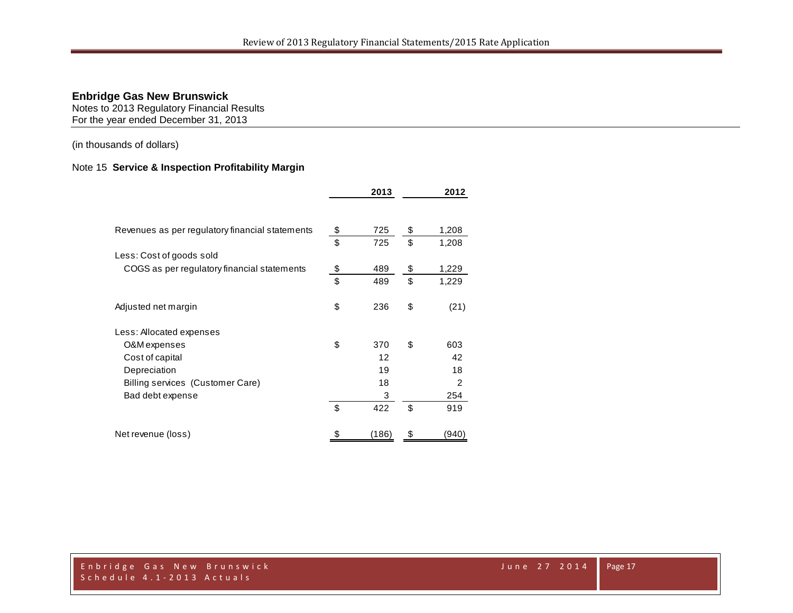Notes to 2013 Regulatory Financial Results For the year ended December 31, 2013

(in thousands of dollars)

# Note 15 **Service & Inspection Profitability Margin**

|                                                 | 2013      | 2012           |
|-------------------------------------------------|-----------|----------------|
| Revenues as per regulatory financial statements | \$<br>725 | \$<br>1,208    |
|                                                 | \$<br>725 | \$<br>1,208    |
| Less: Cost of goods sold                        |           |                |
| COGS as per regulatory financial statements     | \$<br>489 | \$<br>1,229    |
|                                                 | \$<br>489 | \$<br>1,229    |
| Adjusted net margin                             | \$<br>236 | \$<br>(21)     |
| Less: Allocated expenses                        |           |                |
| O&M expenses                                    | \$<br>370 | \$<br>603      |
| Cost of capital                                 | 12        | 42             |
| Depreciation                                    | 19        | 18             |
| Billing services (Customer Care)                | 18        | $\mathfrak{p}$ |
| Bad debt expense                                | 3         | 254            |
|                                                 | \$<br>422 | \$<br>919      |
| Net revenue (loss)                              | (186)     | \$<br>940      |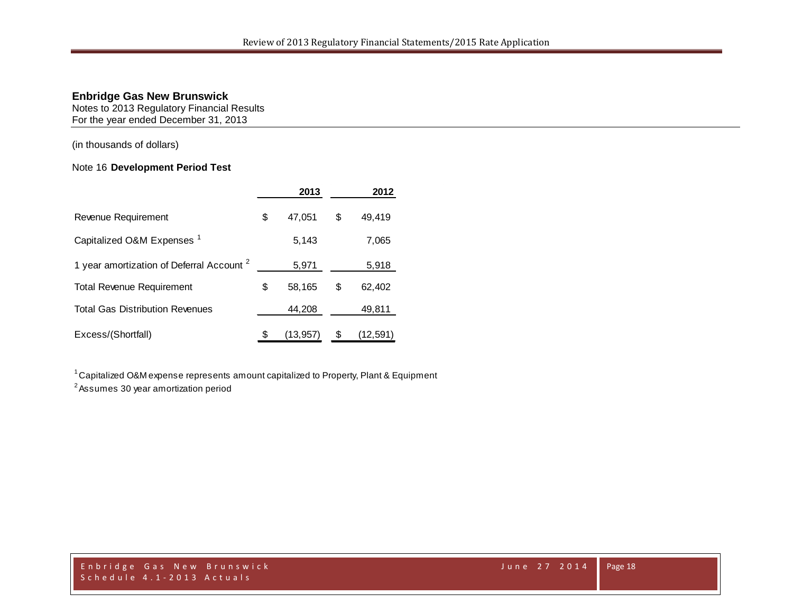Notes to 2013 Regulatory Financial Results For the year ended December 31, 2013

(in thousands of dollars)

# Note 16 **Development Period Test**

|                                                      | 2013           | 2012         |
|------------------------------------------------------|----------------|--------------|
| Revenue Requirement                                  | \$<br>47,051   | \$<br>49,419 |
| Capitalized O&M Expenses <sup>1</sup>                | 5,143          | 7,065        |
| 1 year amortization of Deferral Account <sup>2</sup> | 5,971          | 5,918        |
| <b>Total Revenue Requirement</b>                     | \$<br>58,165   | \$<br>62,402 |
| <b>Total Gas Distribution Revenues</b>               | 44,208         | 49,811       |
| Excess/(Shortfall)                                   | \$<br>(13,957) | (12,591)     |

1 Capitalized O&M expense represents amount capitalized to Property, Plant & Equipment

2 Assumes 30 year amortization period